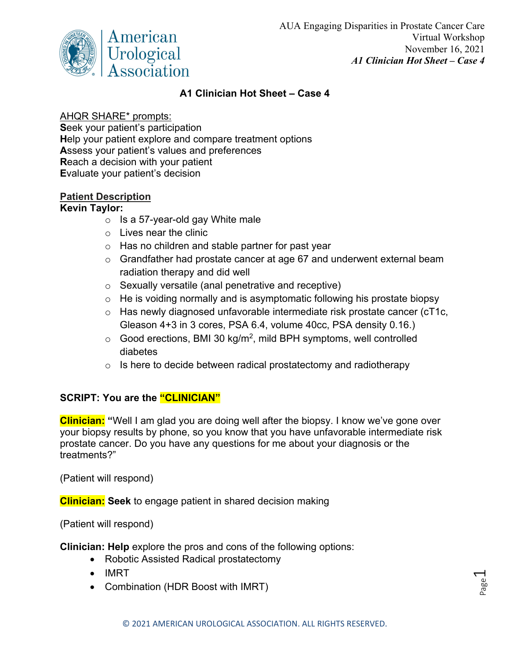

Page  $\overline{\phantom{0}}$ 

## **A1 Clinician Hot Sheet – Case 4**

### AHQR SHARE\* prompts:

**S**eek your patient's participation **H**elp your patient explore and compare treatment options **A**ssess your patient's values and preferences **R**each a decision with your patient **E**valuate your patient's decision

## **Patient Description**

### **Kevin Taylor:**

- $\circ$  Is a 57-year-old gay White male
- $\circ$  Lives near the clinic
- o Has no children and stable partner for past year
- o Grandfather had prostate cancer at age 67 and underwent external beam radiation therapy and did well
- o Sexually versatile (anal penetrative and receptive)
- $\circ$  He is voiding normally and is asymptomatic following his prostate biopsy
- o Has newly diagnosed unfavorable intermediate risk prostate cancer (cT1c, Gleason 4+3 in 3 cores, PSA 6.4, volume 40cc, PSA density 0.16.)
- $\circ$  Good erections, BMI 30 kg/m<sup>2</sup>, mild BPH symptoms, well controlled diabetes
- $\circ$  Is here to decide between radical prostatectomy and radiotherapy

# **SCRIPT: You are the "CLINICIAN"**

**Clinician: "**Well I am glad you are doing well after the biopsy. I know we've gone over your biopsy results by phone, so you know that you have unfavorable intermediate risk prostate cancer. Do you have any questions for me about your diagnosis or the treatments?"

(Patient will respond)

**Clinician: Seek** to engage patient in shared decision making

(Patient will respond)

**Clinician: Help** explore the pros and cons of the following options:

- Robotic Assisted Radical prostatectomy
- IMRT
- Combination (HDR Boost with IMRT)